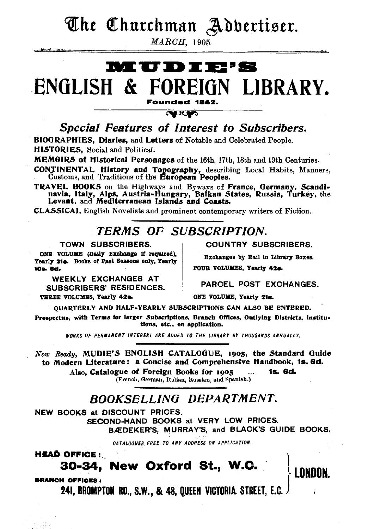The Churchman Adbertiser.

**MARCH, 1905.** 

### **MUDIE'S** ENGLISH & FOREIGN LIBRARY. Founded 1842.

**RECO** Special Features of Interest to Subscribers. BIOGRAPHIES, Diaries, and Letters of Notable and Celebrated People.

HISTORIES. Social and Political.

MEMOIRS of Historical Personages of the 16th, 17th, 18th and 19th Centuries.

**CONTINENTAL History and Topography, describing Local Habits, Manners, Customs, and Traditions of the European Peoples.** 

TRAVEL BOOKS on the Highways and Byways of France, Germany, Scandinavia, Italy, Alps, Austria-Hungary, Balkan States, Russia, Turkey, the Levant. and Mediterranean Islands and Coasts.

**CLASSICAL** English Novelists and prominent contemporary writers of Fiction.

### **TERMS OF SUBSCRIPTION.**

#### TOWN SUBSCRIBERS.

ONE VOLUME (Daily Exchange if required). Yearly 21s. Books of Past Seasons only, Yearly 10a. 6d.

WEEKLY EXCHANGES AT **SUBSCRIBERS' RESIDENCES.** THREE VOLUMES, Yearly 42a**COUNTRY SUBSCRIBERS.** 

Exchanges by Rail in Library Boxes. FOUR VOLUMES, Yearly 42a.

PARCEL POST FXCHANGES.

**LONDON** 

ONE VOLUME, Yearly 21s.

OUARTERLY AND HALF-YEARLY SUBSCRIPTIONS CAN ALSO BE ENTERED.

Prespectus, with Terms for larger Subscriptions, Branch Offices, Outlying Districts, Institutions, etc., on application.

WORKS OF PERMANENT INTEREST ARE ADDED TO THE LIBRARY BY THOUSANDS ANNUALLY.

Now Ready, MUDIE'S ENGLISH CATALOGUE, 1905, the Standard Guide to Modern Literature: a Concise and Comprehensive Handbook, 1s. 6d.

Also. Catalogue of Foreign Books for 1905 1s. 6d.

(French, German, Italian, Russian, and Spanish.)

### **BOOKSELLING DEPARTMENT.**

NEW BOOKS at DISCOUNT PRICES.

SECOND-HAND BOOKS at VERY LOW PRICES. BÆDEKER'S, MURRAY'S, and BLACK'S GUIDE BOOKS,

CATALOGUES FREE TO ANY ADDRESS ON APPLICATION.

**HEAD OFFICE:** 

### 30-34, New Oxford St., W.C.

**BRANCH OFFICES:** 

**241, BROMPTON RD., S.W., & 48. QUEEN VICTORIA STREET. E.C. J**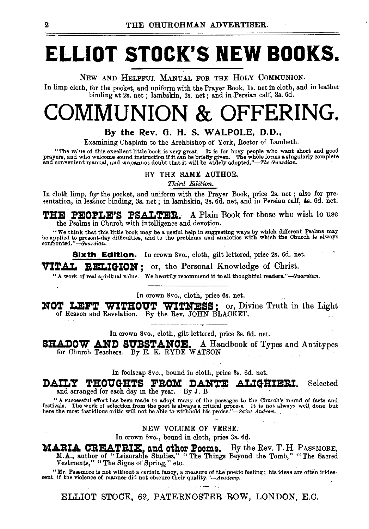## **ELLIOT STOCK'S NEW BOOKS.**

NEW AND HELPFUL MANUAL FOR THE HOLY COMMUNION.

In limp cloth, for the pocket, and uniform with the Prayer Book, ls. net in cloth, and in leather binding at 2s. net ; lambskin, 3s. net; and in Persian calf, 3s. 6d.

## COMMUNION & OFFERING.

#### By the Rev. G. H. S. WALPOLE, D.D.,

Examining Chaplain to the Archbishop of York, Rector of Lambeth.

"The value of this excellent little book is very great. It is for busy people who want short and good prayers, and who welcome sound instruction if it can be briefly given. The whole forms a singularly complete and conven

BY THE SAME AUTHOR.

*Third Edition.* 

In cloth limp, for the pocket, and uniform with the Prayer Book, price 2s. net; also for presentation, in leather binding, 3s. net; in lambskin, 3s. 6d. net, and in Persian calf, 4s. 6d. net.

THE PEOPLE'S PSALTER. A Plain Book for those who wish to use the Psalms in Church with intelligence and devotion.

"We think that this little book may be a useful help in suggesting ways by which different Psalms may be applied to present-day difficulties, and to the problems and anxieties with which the Church is always confronted."-

**Sixth Edition.** In crown 8vo., cloth, gilt lettered, price 2s. 6d. net.

VITAL RELIGION: or, the Personal Knowledge of Christ.

"A work of real spiritual value. We heartily recommend it to all thoughtful readers."-Guardian.

In crown 8vo., cloth, price 6s. net.

NOT LEFT WITHOUT WITNESS; or, Divine Truth in the Light of Reason and Revelation. By the Rev. JOHN BLACKET.

In crown 8vo., cloth, gilt lettered, price 3s. 6d. net.

 $\textbf{SHADOW}$  AND SUBSTANCE. A Handbook of Types and Antitypes for Church Teachers. By E. K. RYDE WATSON.

In foolscap 8vo., bound in cloth, price 3s. 6d. net.

DAILY THOUGHTS FROM DANTE ALIGHIERI. Selected and arranged for each day in the year. By J. B.

" A successful effort has been made to adopt many of the passages to the Church's round of fasts and festivals. The work of selection from the poet is always a critical process. It is not always well done, but here the mo

#### NEW VOLUME OF VERSE.

In crown 8vo., bound in cloth, price 3s. 6d.

MARIA CREATRIX, and other Poems. By the Rev. T. H. PASSMORE, M.A., author of "Leisurable Studies," "The Things Beyond the Tomb," "The Sacred Vestments," "The Signs of Spring," etc.

''Mr. Passmore is not without a -certain fancy, a measure of the ·poetic feeling; his ideas are often irides- cent, if the violence of manner did not ob;cure their quality. *"-Academy.* ,

ELLIOT STOCK, 62, PATERNOSTER ROW, LONDON; E.C.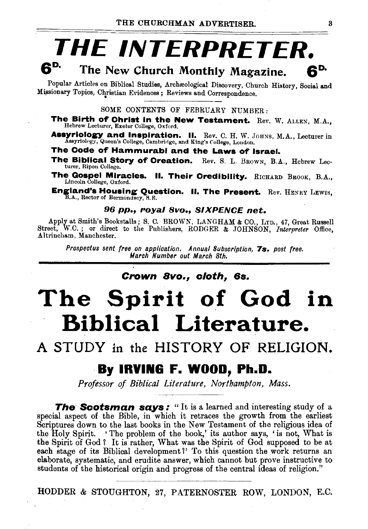### THE INTERPRETER. 6" The New Church Monthly Magazine. RP.

Popular Articles on Biblical Studies, Archæological Discovery, Church History, Social and Missionary Topics, Christian Evidences; Reviews and Correspondence.

SOME CONTENTS OF FEBRUARY NUMBER:

The Birth of Christ in the New Testament. Rev. W. ALLEN, M.A., Hebrew Lecturer, Exeter College, Oxford.

**Assyriology and Inspiration. II.** Rev. C. H. W. JOHNS, M.A., Lecturer in Assyriology, Queen's College, Cambridge, and King's College, London.

The Code of Hammurabi and the Laws of Israel.

The Biblical Story of Creation. Rev. S. L. BROWN, B.A., Hebrew Leeturer, Ripon College.

The Gospel Miracles. II. Their Credibility. RICHARD BROOK, B.A., Lincoln College, Oxford.

**England's Housing Question. II. The Present.** Rev. HENRY LEWIS, B.A., Rector of Bermondsey, S.E.

#### 96 pp., royal 8vo., SIXPENCE net.

Apply at Smith's Bookstalls; S. C. BROWN, LANGHAM & CO., LTD., 47, Great Russell Street, W.C.; or direct to the Publishers, RODGER & JOHNSON, Interpreter Office, Altrincham, Manchester.

Prospectus sent free on application. Annual Subscription, 7s. post free. March Number out March 8th.

Crown 8vo., cloth, 6s.

## The Spirit of God in **Biblical Literature.**

A STUDY in the HISTORY OF RELIGION.

### By IRVING F. WOOD, Ph.D.

Professor of Biblical Literature, Northampton, Mass.

The Scotsman says: "It is a learned and interesting study of a special aspect of the Bible, in which it retraces the growth from the earliest Scriptures down to the last books in the New Testament of the religious idea of the Holy Spirit. 'The problem of the book,' its author says, 'is not, What is the Spirit of God? It is rather, What was the Spirit of God supposed to be at each stage of its Biblical development?' To this question the work returns an elaborate, systematic, and erudite answer, which cannot but prove instructive to students of the historical origin and progress of the central ideas of religion."

HODDER & STOUGHTON, 27, PATERNOSTER ROW, LONDON, E.C.

3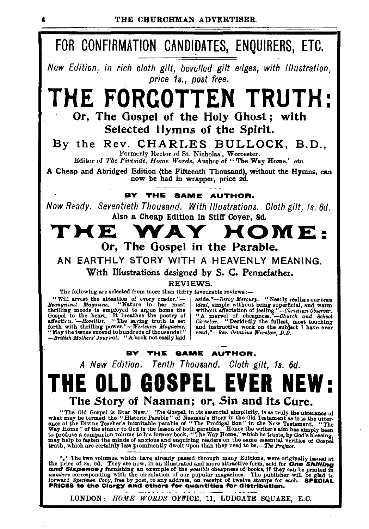

LONDON: *HOME WORDS* OFFICE, 11, LUDGATE SQUARE, E.C.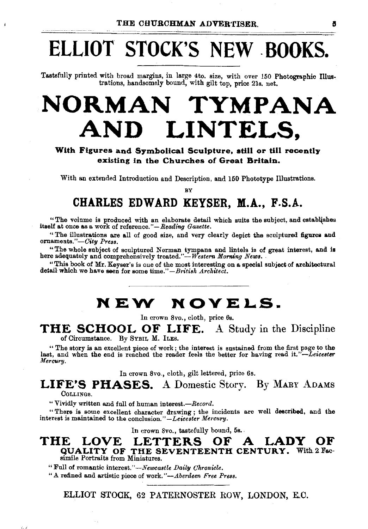## **ELLIOT STOCK'S NEW . BOOKS.**

Tastefully printed with broad margins, in large 4to. size, with over 150 Photographic Illustrations, handsomely bound, with gilt top, price 21s. net.

## **NORMAN TYMPANA AND LINTELS,**

#### **With Figures and Symbolical Sculpture, still or till recently existing in the Churches of Great Britain.**

With an extended Introduction and Description, and 150 Phototype Illustrations.

**BY** 

### **CHARLES EDWARD KEYSER, M.A., F.S.A.**

"The volume is produced with an elaborate detail which suits the subject, and establishes itself at once as a work of reference."-Reading Gazette.

"The illustrations are all of good size, and very clearly depict the sculptured figures and ornaments."-City Press.

"The whole subject of sculptured Norman tympana and lintels is of great interest, and is here adequately and comprehensively treated."-*Western Morning News*.

"This book of Mr. Keyser's is one of the most interesting on a. special subject of architectural detail which we have seen for some time."-British Architect.

### **NEW NOVELS.**

In crown Svo., cloth, price 6s.

#### **THE SCHOOL OF LIFE.** A Study in the Discipline of Circumstance. By SYBIL M. lLEs.

" The story is an excellent piece of work ; the interest is sustained from the first page to the last, and when the end is reached the reader feels the better for having read *it."-Leicester Mercury.* 

In crown Svo., cloth, gilt lettered, price 6s.

**LIFE'S PHASES.** A Domestic Story. By MARY ADAMS COLLINGS.

" Vividly written and full of human interest.-*Record*.

"There is some excellent character drawing; the incidents are well described, and the interest is maintained to the conclusion." *-Leicester Mercnry.* 

In crown 8vo., tastefully bound, 5s.

### **THE LOVE LETTERS OF A LADY OF QUALITY OF THE SEVENTEENTH CENTURY.** With 2 Fac simile Portraits from Miniatures.

"Full of romantic *interest.''-Newcastle Daily Chronicle.* 

"A refined and artistic piece of work. *"-Aberdeen Free Press.* 

ELLIOT STOCK, 62 PATERNOSTER ROW, LONDON, E.C.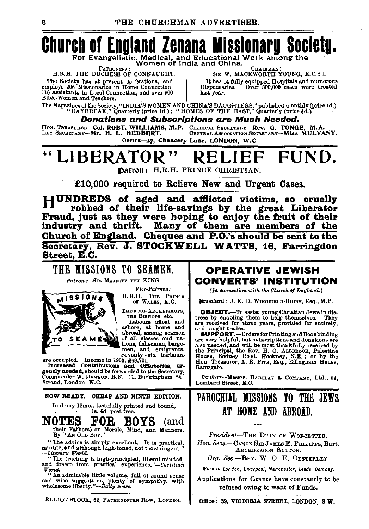## **Church of England Zenana Mlsslonaru Societu.**

For Evangelistic. Medical, and Educational Work among the<br>PATRONESS: Women of India and China.

The Society has at present 65 Stations, and<br>
employs 206 Missionaries in Home Connection,<br>
116 Assistants in Local Connection,<br>
116 Assistants in Local Connection, and over 900<br>
Bible-Women and Teachers.<br>
Bible-Women and T

EXTRONESS : CHAIBMAN:<br>H.R.H. THE DUCHESS OF CONNAUGHT. SIR W. MACKWORTH YOUNG, K.C.S.I.<br>he Society has at present 65 Stations, and | It has 14 fully equipped Hospitals and numerous

The Magazines of the Society, "INDIA'S WOMEN AND CHINA'S DAUGHTERS," published monthly (price 1d.).<br>"DAYBREAK," Quarterly (price 1d.) ; "HOMES OF THE EAST," Quarterly (price 4d.)

#### Donations and Subscriptions are Much Needed.

HoN. TREASURER-Col. ROBT. WILLIAMS, M.P. CLERICAL SECRETARY-Rev. 0. TONOE, M.A. LAY SEcRETARY-Mr. H. L. HEBBERT. CENTRALAssoCIAHON8ECRETARY-Miss MULVANY.

OFFICE-27, Chancery Lane, LONDON, W.C.

## LIBERATOR" RELIEF FUND.

Datton: H.R.H. PRINCE CHRISTIAN.

£10,000 required to Relieve New and Urgent Oases.

HUNDREDS of aged and afllicted victims, so cruelly robbed of their life-savings by the great Liberator Fraud, just as they were hoping to enjoy the fruit of their industry and thrift. Many of them are members of the Church of England. Cheques and P.O.'s should be sent to the Secretary, Rev. J. STOCKWELL WATTS, 16, Farringdon Street, E.C.

#### THE MISSIONS TO SEAMEN. H.R.H. TnE PRINCE OF WALES, K.G. OPERATIVE JEWISH CONVERTS' INSTITUTION *(In connection with the Church of England.)*

fh:~sibrnt: J. K. D. WINGFIELD-DIGBY, Esq., M.P.

**OBJECT.**-To assist young Christian Jews in distress by enabling them to help themselves. They are received for three years, provided for entirely, and taught trades.

**SUPPORT.**-Orders for Printing and Bookbinding<br>are very helpful, but subscriptions and donations are are very helpful, but subscriptions and donations are<br>also needed, and will be most thankfully received by<br>the Principal, the Rev. H. O. ALLEROYS, Palestine<br>House, Bodney Road, Hackney, N.E. ; or by the<br>Hon. Treasurer, A. Ramsgate.

*Bankers-Messrs.* BARCLAY & COMPANY, Ltd., 54, Lombard Street, E.C.

### PAROCHIAL MISSIONS TO THE JEWS AT HOME AND ABROAD.

*President-THE* DEAN OF WoRCESTER. *lion.* Secs.-CANON SrnJAMEsE. PHILIPPs, Bart. ARcHDEACON SUTTON.

Org. Sec.-REV. W. O. E. OESTERLEY.

Work in London, Liverpool, Manchester, Leeds, Bombay.

Applications for Grants have constantly to be refused owing to want of Funds.

Office: 39, VICTORIA STREET, LONDON, S.W.



Increased Contributions and Offertories, urgently needed, should be forwarded to the Secretary, Commander W. DAWSON, R.N. 11, B111ckingbam Rt., Strand, London W.C. NOW READY. CHEAP AND NINTH EDITION.

*Patron:* His MAJESTY THE KING.

*Vice-Patrons:* 

In demy 12mo., tastefully printed and bound,<br>
1s. 6d. post free.

NOTES FOR BOYS (and their Fathers) on Morals, Mind, and Manners. By "AN OLD Boy."

" The advice is simply excellent. It is practical, minute, and although high-toned, not too stringent." *-Literary World.* 

"The teaching is high-principled, liberal-minded, and drawn from practical experience. *"-Christian World.* 

"An admirable little volume, full of sound sense and wise suggestions, plenty of sympathy, with wholesome liberty."--Daily News.

ELLIOT STOCK, 62, PATERNOSTER Row, LoNDON.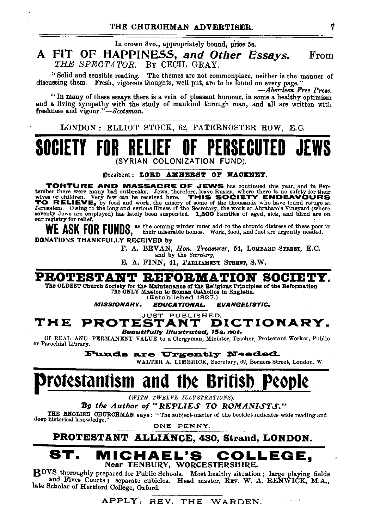In crown Svo., appropriately bound, price 5s.

#### A FIT OF HAPPINESS, *and Other Essays. THE SPECTATOR.* BY CECIL GRAY. From

"Solid and sensible reading. The themes are not commonplace, neither is the manner of discussing them. Fresh, vigorous thoughts, well pnt, are to be found on every page.'' *·-Aberdeen Free Press.* 

"In many of these essays there is a vein of pleasant humour, in some a healthy optimism and a living sympathy with the stndy of mankind through man, and all are written with freshness and vigour."-Scotsman.

LONDON: ELLIOT STOCK, 62, PATERNOSTER ROW, E.C.

### **SOCIETY** (SYRIAN COLONIZATION

Dresident: LORD AMHERST OF HACKNEY.

**TORTURE AND MASSACRE OF JEWS** has continued this year, and in September there were many bad outbreaks. Jews, therefore, leave Russia, where there is no safety for their wives or children. Very few can be received here. TH TO RELIEVE, by food and work, the misery of some of the thousands who have found refuge at Jerusalem. Owing to the long and serious illness of the Secretary, the work at Abraham's Vineyard (where seventy Jews are employed) has lately been suspended. 1,500 Families of aged, sick, and blind are on our registry for relief.

WE ASK FOR FUNDS, as the coming winter must add to the chronic distress of these poor in the chronic distress of these poor in their miserable homes. Work, food, and fuel are urgently needed.

DONATIONS THANKFULLY RECEIVED by

F. A. BEVAN, *Hon. Treasurer,* 54, LOMBARD STREET, E.C.

and by the *Secretarg,* 

E. A. FINN, 41, PARLIAMENT STREET, S.W.

PROTESTANT REFORMATION SOCIET

The OLDEST Church Society for the Maintenance of the Religious Principles of the Reformation The ONLY Mission to Roman Oatholics in England.

(Established 1827.)<br>**EDUCATIONAL.** 

MISSIONARY. EDUCATIONAL. EVANGELISTIC.

#### JUST PUBLISHED.<br>**STANT DICTIONARY.** THE PROTESTANT Beautlf'ully Illustrated, 15s. net.

Of REAL AND PERMANENT VALUE to a Clergyman, Minister, Teacher, Protestant Worker, Public or Parochial Library.

Funds are Urgently Needed.

WALTER A. LIMBRICK, Secreiary, 62, Berners Street, London, W.

## rotestantism and tbe Britisb People

*(WITH 1'WELVE ILLUSTRATIONS),* 

**By the Author of "REPLIES TO ROMANISTS." THE ENGLISH OHUROHMAN says:** "The subject-matter of the booklet indicates wide reading and deep historical knowledge."

ONE PENNY.

PROTESTANT ALLIANCE, 430, Strand, LONDON.

### MICHAEL'S COLLEGE, Near TENBURY, WORCESTERSHIRE.

BOYS thoroughly prepared for Public Schools. Most healthy situation; large playing fields and Fives Courts; separate cubicles. Head master, REV. W. A. RENWICK, M.A., late Scholar of Hertford College, Oxford.

APPLY: REV. THE WARDEN.